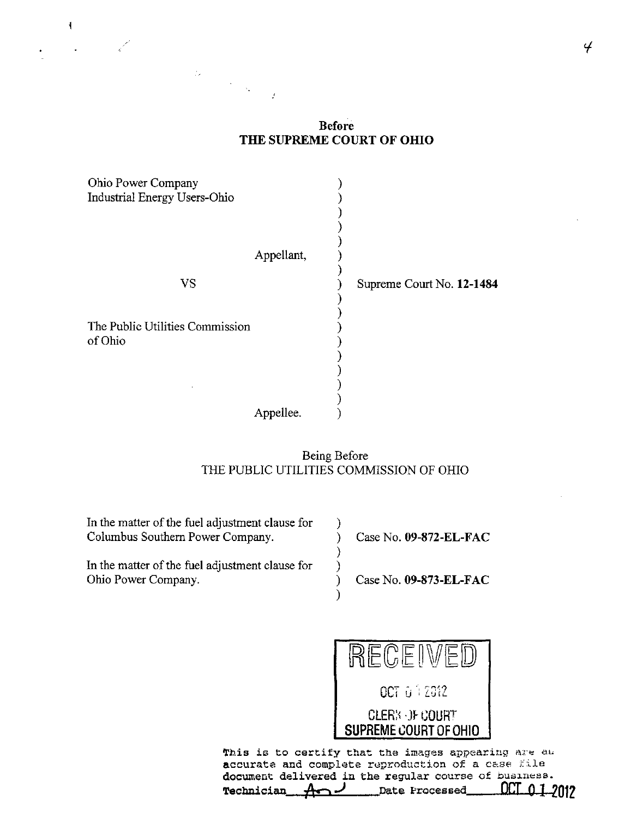### **Before** THE SUPREME COURT OF OHIO

| Ohio Power Company<br>Industrial Energy Users-Ohio |            |                           |
|----------------------------------------------------|------------|---------------------------|
|                                                    | Appellant, |                           |
| <b>VS</b>                                          |            | Supreme Court No. 12-1484 |
| The Public Utilities Commission<br>of Ohio         |            |                           |
|                                                    | Appellee.  |                           |

 $\label{eq:2.1} \frac{M_{\rm{max}}}{\sigma_{\rm{max}}}\simeq \frac{1}{\sigma_{\rm{max}}}\, .$ 

 $\mathbf{f}$ 

# Being Before THE PUBLIC UTILITIES COMMISSION OF OHIO

| In the matter of the fuel adjustment clause for |                        |
|-------------------------------------------------|------------------------|
| Columbus Southern Power Company.                | Case No. 09-872-EL-FAC |
|                                                 |                        |
| In the matter of the fuel adjustment clause for |                        |
| Ohio Power Company.                             | Case No. 09-873-EL-FAC |
|                                                 |                        |
|                                                 |                        |



This is to certify that the images appearing are au accurate and complete reproduction of a case file document delivered in the regular course of business. OCI Date Processed Technician <del>. A</del> 2012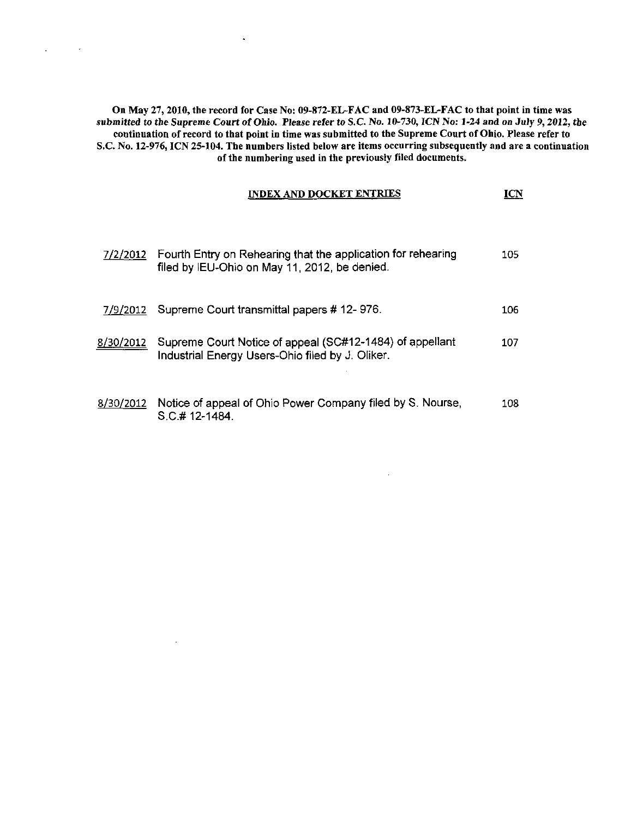On May 27,2010, the record for Case No: 09-872-EL-FAC and 09-873-EL-FAC to that point in time was submitted to the Supreme Court of Ohio. Please refer to S.C No. 10-730, ICN No: 1-24 and on July 9,2012, the continuation of record to that point in time was submitted to the Supreme Court of Ohio. Please refer to S.C. No. 12-976, ICN 25-104. The numbers listed below are items occurring subsequently and are a continuation of the numbering used in the previously filed documents.

 $\mathbf{v}$ 

 $\sim$ 

 $\mathcal{L}^{\pm}$ 

 $\sim$ 

| <b>INDEX AND DOCKET ENTRIES</b> |  |
|---------------------------------|--|
|---------------------------------|--|

 $\sim$   $\sim$ 

| 7/2/2012         | Fourth Entry on Rehearing that the application for rehearing<br>filed by IEU-Ohio on May 11, 2012, be denied. | 105. |
|------------------|---------------------------------------------------------------------------------------------------------------|------|
| 7/9/2012         | Supreme Court transmittal papers # 12-976.                                                                    | 106. |
| <u>8/30/2012</u> | Supreme Court Notice of appeal (SC#12-1484) of appellant<br>Industrial Energy Users-Ohio filed by J. Oliker.  | 107  |
| 8/30/2012        | Notice of appeal of Ohio Power Company filed by S. Nourse,<br>$S.C.$ #12-1484.                                | 108  |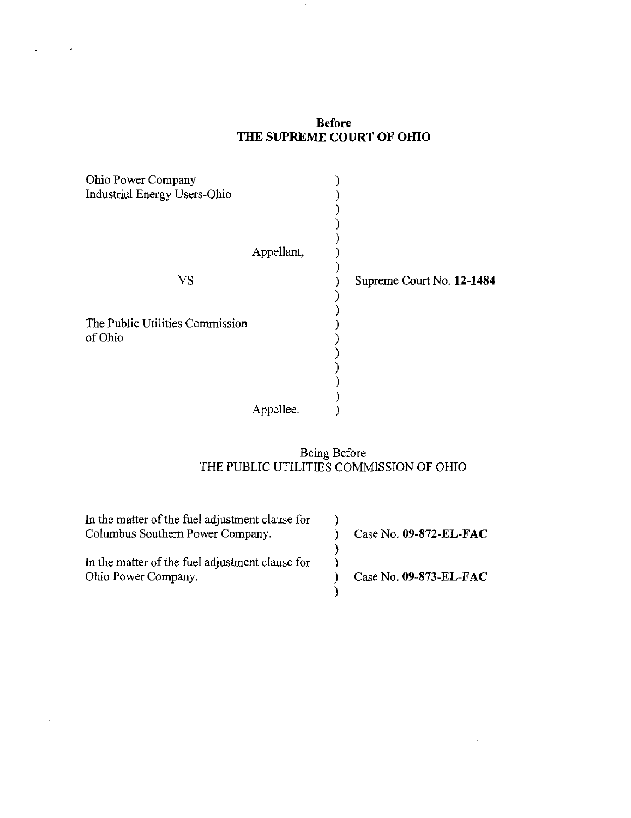### Before THE SUPREME COURT OF OHIO

| Ohio Power Company<br>Industrial Energy Users-Ohio |            |                           |
|----------------------------------------------------|------------|---------------------------|
|                                                    |            |                           |
|                                                    | Appellant, |                           |
| <b>VS</b>                                          |            | Supreme Court No. 12-1484 |
|                                                    |            |                           |
| The Public Utilities Commission<br>of Ohio         |            |                           |
|                                                    |            |                           |
|                                                    |            |                           |
|                                                    |            |                           |
|                                                    | Appellee.  |                           |

### Being Before THE PUBLIC UTILITIES COMMISSION OF OHIO

 $\mathcal{A}$ 

| In the matter of the fuel adjustment clause for<br>Columbus Southern Power Company. | Case No. $09-872$ -EL-FAC |
|-------------------------------------------------------------------------------------|---------------------------|
| In the matter of the fuel adjustment clause for<br>Ohio Power Company.              | Case No. $09-873$ -EL-FAC |

 $\bar{\ell}$